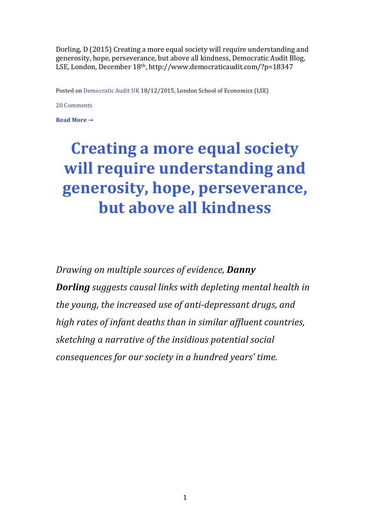Dorling, D (2015) Creating a more equal society will require understanding and generosity, hope, perseverance, but above all kindness, Democratic Audit Blog, LSE, London, December 18<sup>th</sup>, http://www.democraticaudit.com/?p=18347

Posted on Democratic Audit UK 18/12/2015, London School of Economics (LSE)

20 Comments

**Read More →** 

## **Creating a more equal society** will require understanding and generosity, hope, perseverance, **but above all kindness**

*Drawing on multiple sources of evidence, Danny Dorling* suggests causal links with depleting mental health in *the young, the increased use of anti-depressant drugs, and high rates of infant deaths than in similar affluent countries, sketching a narrative of the insidious potential social consequences for our society in a hundred years' time.*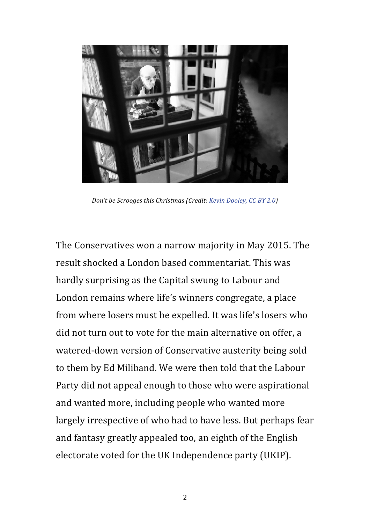

*Don't be Scrooges this Christmas (Credit: Kevin Dooley, CC BY 2.0)* 

The Conservatives won a narrow majority in May 2015. The result shocked a London based commentariat. This was hardly surprising as the Capital swung to Labour and London remains where life's winners congregate, a place from where losers must be expelled. It was life's losers who did not turn out to vote for the main alternative on offer, a watered-down version of Conservative austerity being sold to them by Ed Miliband. We were then told that the Labour Party did not appeal enough to those who were aspirational and wanted more, including people who wanted more largely irrespective of who had to have less. But perhaps fear and fantasy greatly appealed too, an eighth of the English electorate voted for the UK Independence party (UKIP).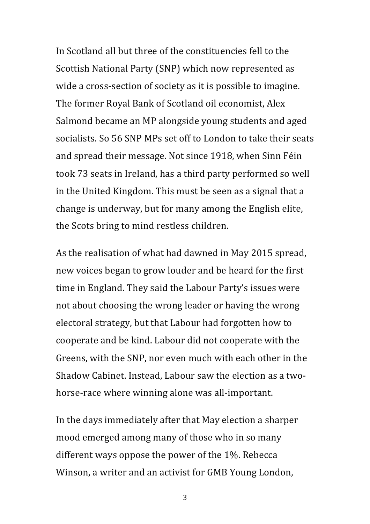In Scotland all but three of the constituencies fell to the Scottish National Party (SNP) which now represented as wide a cross-section of society as it is possible to imagine. The former Royal Bank of Scotland oil economist, Alex Salmond became an MP alongside young students and aged socialists. So 56 SNP MPs set off to London to take their seats and spread their message. Not since 1918, when Sinn Féin took 73 seats in Ireland, has a third party performed so well in the United Kingdom. This must be seen as a signal that a change is underway, but for many among the English elite, the Scots bring to mind restless children.

As the realisation of what had dawned in May 2015 spread, new voices began to grow louder and be heard for the first time in England. They said the Labour Party's issues were not about choosing the wrong leader or having the wrong electoral strategy, but that Labour had forgotten how to cooperate and be kind. Labour did not cooperate with the Greens, with the SNP, nor even much with each other in the Shadow Cabinet. Instead, Labour saw the election as a twohorse-race where winning alone was all-important.

In the days immediately after that May election a sharper mood emerged among many of those who in so many different ways oppose the power of the  $1\%$ . Rebecca Winson, a writer and an activist for GMB Young London,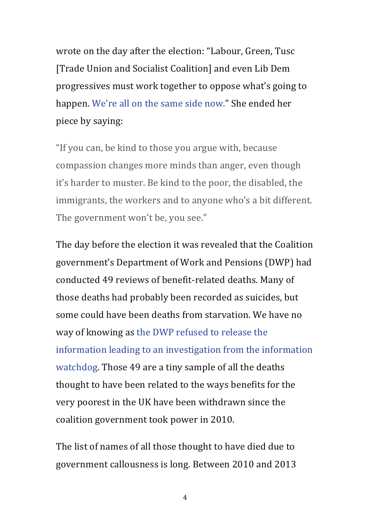wrote on the day after the election: "Labour, Green, Tusc [Trade Union and Socialist Coalition] and even Lib Dem progressives must work together to oppose what's going to happen. We're all on the same side now." She ended her piece by saying:

"If you can, be kind to those you argue with, because compassion changes more minds than anger, even though it's harder to muster. Be kind to the poor, the disabled, the immigrants, the workers and to anyone who's a bit different. The government won't be, you see."

The day before the election it was revealed that the Coalition government's Department of Work and Pensions (DWP) had conducted 49 reviews of benefit-related deaths. Many of those deaths had probably been recorded as suicides, but some could have been deaths from starvation. We have no way of knowing as the DWP refused to release the information leading to an investigation from the information watchdog. Those 49 are a tiny sample of all the deaths thought to have been related to the ways benefits for the very poorest in the UK have been withdrawn since the coalition government took power in 2010.

The list of names of all those thought to have died due to government callousness is long. Between 2010 and 2013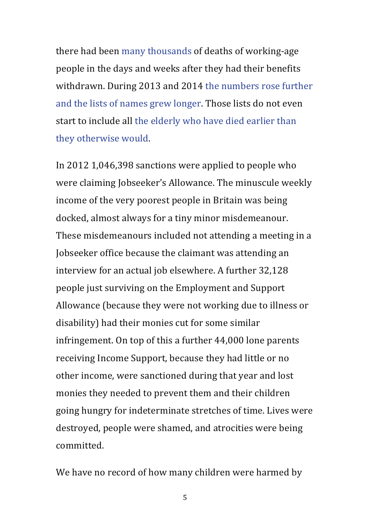there had been many thousands of deaths of working-age people in the days and weeks after they had their benefits withdrawn. During 2013 and 2014 the numbers rose further and the lists of names grew longer. Those lists do not even start to include all the elderly who have died earlier than they otherwise would.

In 2012  $1,046,398$  sanctions were applied to people who were claiming Jobseeker's Allowance. The minuscule weekly income of the very poorest people in Britain was being docked, almost always for a tiny minor misdemeanour. These misdemeanours included not attending a meeting in a Jobseeker office because the claimant was attending an interview for an actual job elsewhere. A further 32,128 people just surviving on the Employment and Support Allowance (because they were not working due to illness or disability) had their monies cut for some similar infringement. On top of this a further 44,000 lone parents receiving Income Support, because they had little or no other income, were sanctioned during that year and lost monies they needed to prevent them and their children going hungry for indeterminate stretches of time. Lives were destroyed, people were shamed, and atrocities were being committed.

We have no record of how many children were harmed by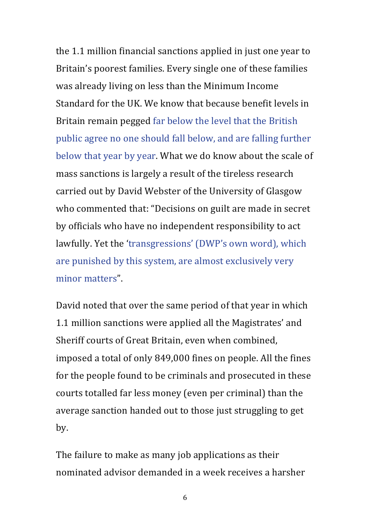the 1.1 million financial sanctions applied in just one year to Britain's poorest families. Every single one of these families was already living on less than the Minimum Income Standard for the UK. We know that because benefit levels in Britain remain pegged far below the level that the British public agree no one should fall below, and are falling further below that year by year. What we do know about the scale of mass sanctions is largely a result of the tireless research carried out by David Webster of the University of Glasgow who commented that: "Decisions on guilt are made in secret by officials who have no independent responsibility to act lawfully. Yet the 'transgressions' (DWP's own word), which are punished by this system, are almost exclusively very minor matters".

David noted that over the same period of that year in which 1.1 million sanctions were applied all the Magistrates' and Sheriff courts of Great Britain, even when combined, imposed a total of only 849,000 fines on people. All the fines for the people found to be criminals and prosecuted in these courts totalled far less money (even per criminal) than the average sanction handed out to those just struggling to get by.

The failure to make as many job applications as their nominated advisor demanded in a week receives a harsher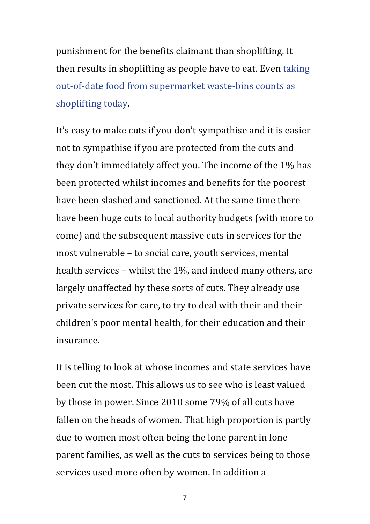punishment for the benefits claimant than shoplifting. It then results in shoplifting as people have to eat. Even taking out-of-date food from supermarket waste-bins counts as shoplifting today.

It's easy to make cuts if you don't sympathise and it is easier not to sympathise if you are protected from the cuts and they don't immediately affect you. The income of the  $1\%$  has been protected whilst incomes and benefits for the poorest have been slashed and sanctioned. At the same time there have been huge cuts to local authority budgets (with more to come) and the subsequent massive cuts in services for the most vulnerable - to social care, youth services, mental health services – whilst the  $1\%$ , and indeed many others, are largely unaffected by these sorts of cuts. They already use private services for care, to try to deal with their and their children's poor mental health, for their education and their insurance.

It is telling to look at whose incomes and state services have been cut the most. This allows us to see who is least valued by those in power. Since 2010 some 79% of all cuts have fallen on the heads of women. That high proportion is partly due to women most often being the lone parent in lone parent families, as well as the cuts to services being to those services used more often by women. In addition a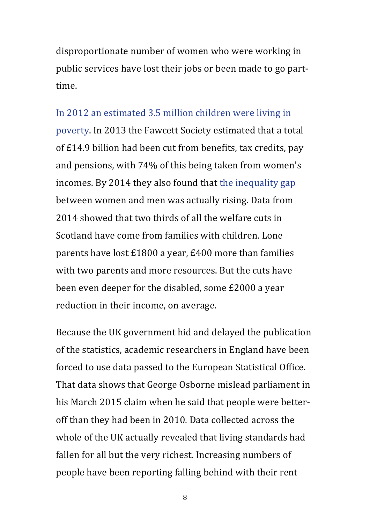disproportionate number of women who were working in public services have lost their jobs or been made to go parttime.

## In 2012 an estimated 3.5 million children were living in

poverty. In 2013 the Fawcett Society estimated that a total of £14.9 billion had been cut from benefits, tax credits, pay and pensions, with 74% of this being taken from women's incomes. By 2014 they also found that the inequality gap between women and men was actually rising. Data from 2014 showed that two thirds of all the welfare cuts in Scotland have come from families with children. Lone parents have lost  $£1800$  a year,  $£400$  more than families with two parents and more resources. But the cuts have been even deeper for the disabled, some £2000 a year reduction in their income, on average.

Because the UK government hid and delayed the publication of the statistics, academic researchers in England have been forced to use data passed to the European Statistical Office. That data shows that George Osborne mislead parliament in his March 2015 claim when he said that people were betteroff than they had been in 2010. Data collected across the whole of the UK actually revealed that living standards had fallen for all but the very richest. Increasing numbers of people have been reporting falling behind with their rent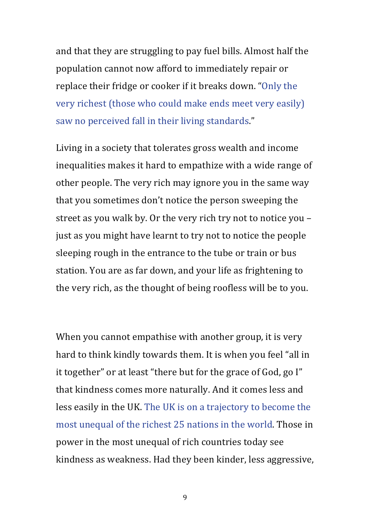and that they are struggling to pay fuel bills. Almost half the population cannot now afford to immediately repair or replace their fridge or cooker if it breaks down. "Only the very richest (those who could make ends meet very easily) saw no perceived fall in their living standards."

Living in a society that tolerates gross wealth and income inequalities makes it hard to empathize with a wide range of other people. The very rich may ignore you in the same way that you sometimes don't notice the person sweeping the street as you walk by. Or the very rich try not to notice you  $$ just as you might have learnt to try not to notice the people sleeping rough in the entrance to the tube or train or bus station. You are as far down, and your life as frightening to the very rich, as the thought of being roofless will be to you.

When you cannot empathise with another group, it is very hard to think kindly towards them. It is when you feel "all in it together" or at least "there but for the grace of God, go I" that kindness comes more naturally. And it comes less and less easily in the UK. The UK is on a trajectory to become the most unequal of the richest 25 nations in the world. Those in power in the most unequal of rich countries today see kindness as weakness. Had they been kinder, less aggressive,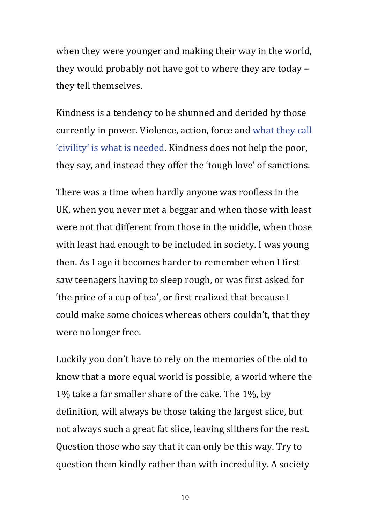when they were younger and making their way in the world, they would probably not have got to where they are today – they tell themselves.

Kindness is a tendency to be shunned and derided by those currently in power. Violence, action, force and what they call 'civility' is what is needed. Kindness does not help the poor, they say, and instead they offer the 'tough love' of sanctions.

There was a time when hardly anyone was roofless in the UK, when you never met a beggar and when those with least were not that different from those in the middle, when those with least had enough to be included in society. I was young then. As I age it becomes harder to remember when I first saw teenagers having to sleep rough, or was first asked for 'the price of a cup of tea', or first realized that because I could make some choices whereas others couldn't, that they were no longer free.

Luckily you don't have to rely on the memories of the old to know that a more equal world is possible, a world where the 1% take a far smaller share of the cake. The 1%, by definition, will always be those taking the largest slice, but not always such a great fat slice, leaving slithers for the rest. Question those who say that it can only be this way. Try to question them kindly rather than with incredulity. A society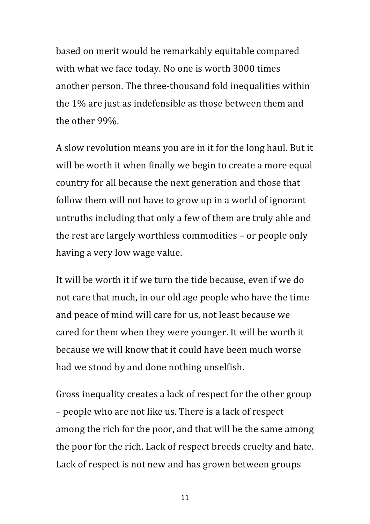based on merit would be remarkably equitable compared with what we face today. No one is worth 3000 times another person. The three-thousand fold inequalities within the  $1\%$  are just as indefensible as those between them and the other 99%.

A slow revolution means you are in it for the long haul. But it will be worth it when finally we begin to create a more equal country for all because the next generation and those that follow them will not have to grow up in a world of ignorant untruths including that only a few of them are truly able and the rest are largely worthless commodities - or people only having a very low wage value.

It will be worth it if we turn the tide because, even if we do not care that much, in our old age people who have the time and peace of mind will care for us, not least because we cared for them when they were younger. It will be worth it because we will know that it could have been much worse had we stood by and done nothing unselfish.

Gross inequality creates a lack of respect for the other group – people who are not like us. There is a lack of respect among the rich for the poor, and that will be the same among the poor for the rich. Lack of respect breeds cruelty and hate. Lack of respect is not new and has grown between groups